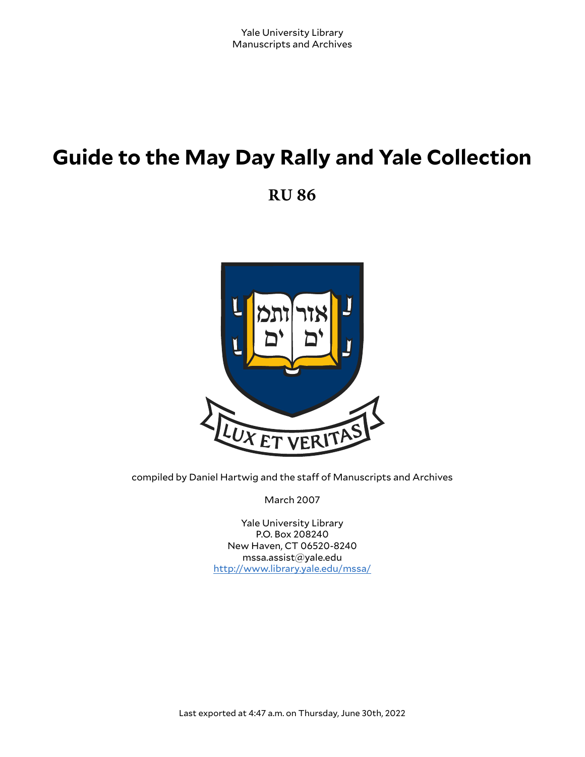# **Guide to the May Day Rally and Yale Collection**

**RU 86**



compiled by Daniel Hartwig and the staff of Manuscripts and Archives

March 2007

Yale University Library P.O. Box 208240 New Haven, CT 06520-8240 mssa.assist@yale.edu <http://www.library.yale.edu/mssa/>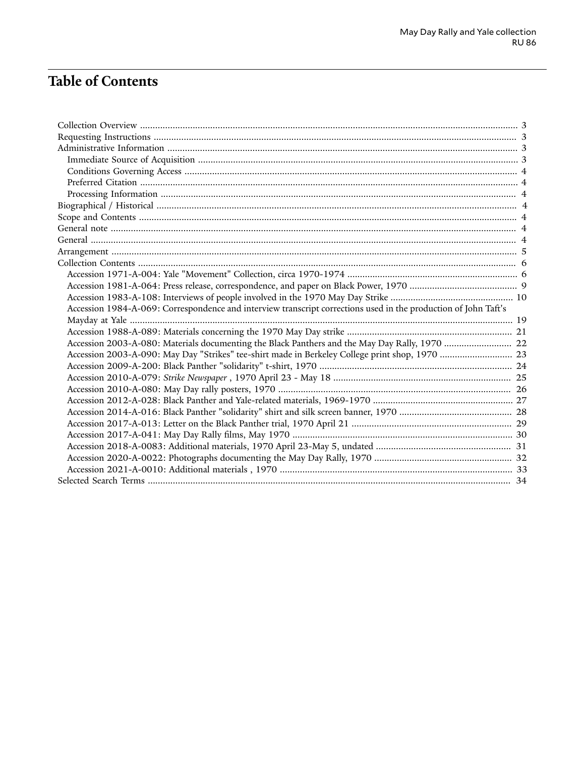# Table of Contents

| Accession 1984-A-069: Correspondence and interview transcript corrections used in the production of John Taft's |  |
|-----------------------------------------------------------------------------------------------------------------|--|
|                                                                                                                 |  |
|                                                                                                                 |  |
| Accession 2003-A-080: Materials documenting the Black Panthers and the May Day Rally, 1970  22                  |  |
| Accession 2003-A-090: May Day "Strikes" tee-shirt made in Berkeley College print shop, 1970  23                 |  |
|                                                                                                                 |  |
|                                                                                                                 |  |
|                                                                                                                 |  |
|                                                                                                                 |  |
|                                                                                                                 |  |
|                                                                                                                 |  |
|                                                                                                                 |  |
|                                                                                                                 |  |
|                                                                                                                 |  |
|                                                                                                                 |  |
|                                                                                                                 |  |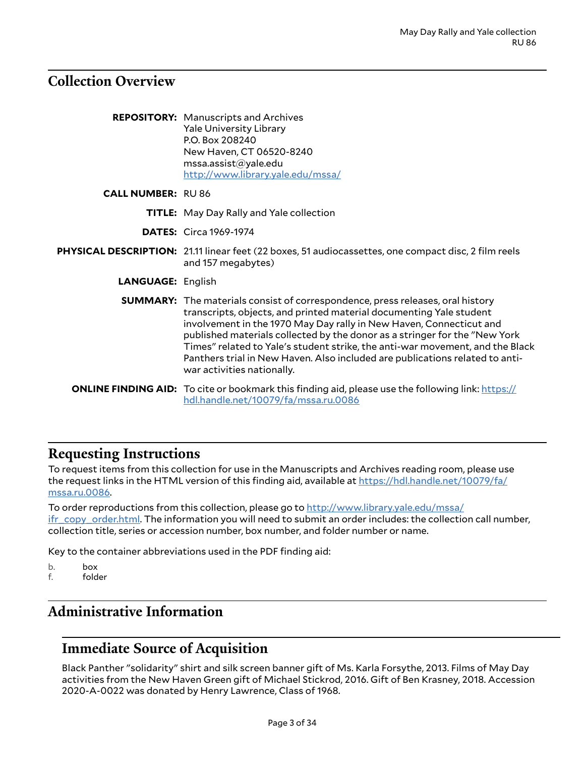# <span id="page-2-0"></span>**Collection Overview**

|                          | <b>REPOSITORY:</b> Manuscripts and Archives<br><b>Yale University Library</b><br>P.O. Box 208240<br>New Haven, CT 06520-8240<br>msa. assist@yale.edu<br>http://www.library.yale.edu/mssa/                                                                                                                                                                                                                                                                                                                        |
|--------------------------|------------------------------------------------------------------------------------------------------------------------------------------------------------------------------------------------------------------------------------------------------------------------------------------------------------------------------------------------------------------------------------------------------------------------------------------------------------------------------------------------------------------|
| <b>CALL NUMBER: RU86</b> |                                                                                                                                                                                                                                                                                                                                                                                                                                                                                                                  |
|                          | <b>TITLE:</b> May Day Rally and Yale collection                                                                                                                                                                                                                                                                                                                                                                                                                                                                  |
|                          | <b>DATES: Circa 1969-1974</b>                                                                                                                                                                                                                                                                                                                                                                                                                                                                                    |
|                          | PHYSICAL DESCRIPTION: 21.11 linear feet (22 boxes, 51 audiocassettes, one compact disc, 2 film reels<br>and 157 megabytes)                                                                                                                                                                                                                                                                                                                                                                                       |
| <b>LANGUAGE: English</b> |                                                                                                                                                                                                                                                                                                                                                                                                                                                                                                                  |
|                          | <b>SUMMARY:</b> The materials consist of correspondence, press releases, oral history<br>transcripts, objects, and printed material documenting Yale student<br>involvement in the 1970 May Day rally in New Haven, Connecticut and<br>published materials collected by the donor as a stringer for the "New York<br>Times" related to Yale's student strike, the anti-war movement, and the Black<br>Panthers trial in New Haven. Also included are publications related to anti-<br>war activities nationally. |
|                          | <b>ONLINE FINDING AID:</b> To cite or bookmark this finding aid, please use the following link: https://<br>hdl.handle.net/10079/fa/mssa.ru.0086                                                                                                                                                                                                                                                                                                                                                                 |

#### <span id="page-2-1"></span>**Requesting Instructions**

To request items from this collection for use in the Manuscripts and Archives reading room, please use the request links in the HTML version of this finding aid, available at [https://hdl.handle.net/10079/fa/](https://hdl.handle.net/10079/fa/mssa.ru.0086) [mssa.ru.0086](https://hdl.handle.net/10079/fa/mssa.ru.0086).

To order reproductions from this collection, please go to [http://www.library.yale.edu/mssa/](http://www.library.yale.edu/mssa/ifr_copy_order.html) [ifr\\_copy\\_order.html.](http://www.library.yale.edu/mssa/ifr_copy_order.html) The information you will need to submit an order includes: the collection call number, collection title, series or accession number, box number, and folder number or name.

Key to the container abbreviations used in the PDF finding aid:

- b. box
- f. folder

# <span id="page-2-2"></span>**Administrative Information**

# <span id="page-2-3"></span>**Immediate Source of Acquisition**

Black Panther "solidarity" shirt and silk screen banner gift of Ms. Karla Forsythe, 2013. Films of May Day activities from the New Haven Green gift of Michael Stickrod, 2016. Gift of Ben Krasney, 2018. Accession 2020-A-0022 was donated by Henry Lawrence, Class of 1968.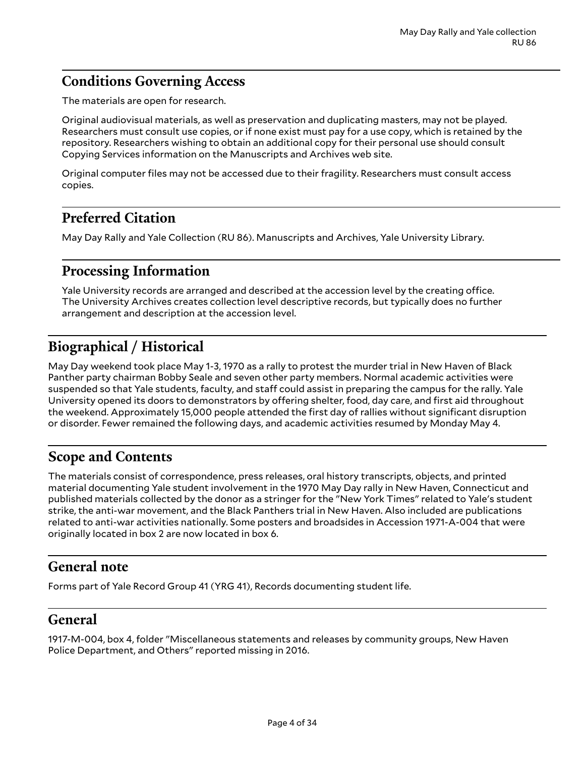# <span id="page-3-0"></span>**Conditions Governing Access**

The materials are open for research.

Original audiovisual materials, as well as preservation and duplicating masters, may not be played. Researchers must consult use copies, or if none exist must pay for a use copy, which is retained by the repository. Researchers wishing to obtain an additional copy for their personal use should consult Copying Services information on the Manuscripts and Archives web site.

Original computer files may not be accessed due to their fragility. Researchers must consult access copies.

# <span id="page-3-1"></span>**Preferred Citation**

May Day Rally and Yale Collection (RU 86). Manuscripts and Archives, Yale University Library.

# <span id="page-3-2"></span>**Processing Information**

Yale University records are arranged and described at the accession level by the creating office. The University Archives creates collection level descriptive records, but typically does no further arrangement and description at the accession level.

# <span id="page-3-3"></span>**Biographical / Historical**

May Day weekend took place May 1-3, 1970 as a rally to protest the murder trial in New Haven of Black Panther party chairman Bobby Seale and seven other party members. Normal academic activities were suspended so that Yale students, faculty, and staff could assist in preparing the campus for the rally. Yale University opened its doors to demonstrators by offering shelter, food, day care, and first aid throughout the weekend. Approximately 15,000 people attended the first day of rallies without significant disruption or disorder. Fewer remained the following days, and academic activities resumed by Monday May 4.

# <span id="page-3-4"></span>**Scope and Contents**

The materials consist of correspondence, press releases, oral history transcripts, objects, and printed material documenting Yale student involvement in the 1970 May Day rally in New Haven, Connecticut and published materials collected by the donor as a stringer for the "New York Times" related to Yale's student strike, the anti-war movement, and the Black Panthers trial in New Haven. Also included are publications related to anti-war activities nationally. Some posters and broadsides in Accession 1971-A-004 that were originally located in box 2 are now located in box 6.

#### <span id="page-3-5"></span>**General note**

Forms part of Yale Record Group 41 (YRG 41), Records documenting student life.

#### <span id="page-3-6"></span>**General**

1917-M-004, box 4, folder "Miscellaneous statements and releases by community groups, New Haven Police Department, and Others" reported missing in 2016.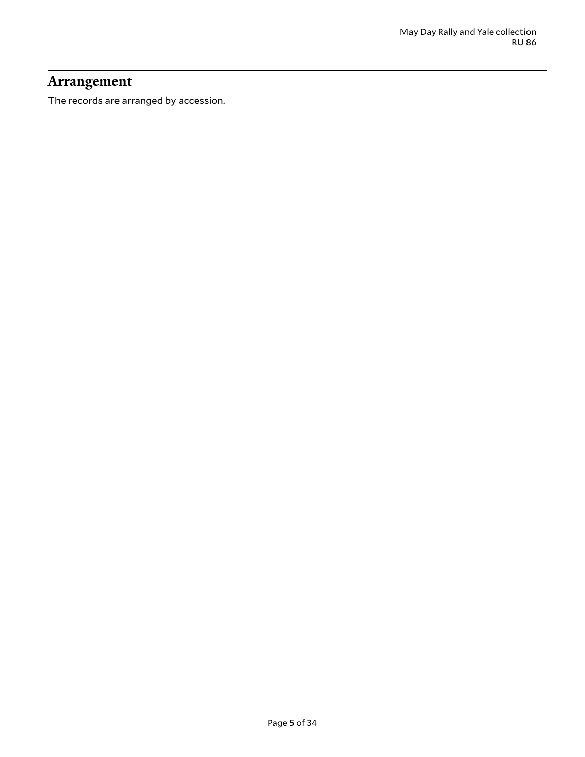### <span id="page-4-0"></span>**Arrangement**

The records are arranged by accession.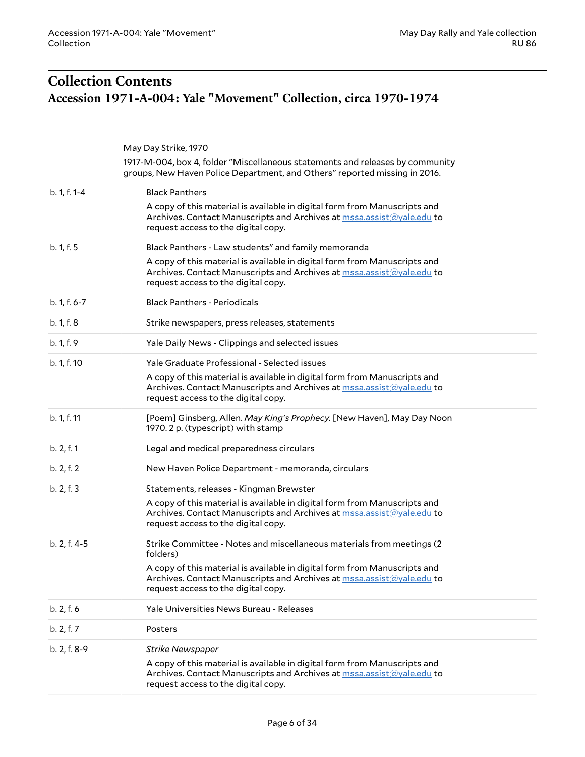# <span id="page-5-1"></span><span id="page-5-0"></span>**Collection Contents Accession 1971-A-004: Yale "Movement" Collection, circa 1970-1974**

|              | May Day Strike, 1970                                                                                                                                                                      |
|--------------|-------------------------------------------------------------------------------------------------------------------------------------------------------------------------------------------|
|              | 1917-M-004, box 4, folder "Miscellaneous statements and releases by community<br>groups, New Haven Police Department, and Others" reported missing in 2016.                               |
| b. 1, f. 1-4 | <b>Black Panthers</b>                                                                                                                                                                     |
|              | A copy of this material is available in digital form from Manuscripts and<br>Archives. Contact Manuscripts and Archives at mssa.assist@yale.edu to<br>request access to the digital copy. |
| b. 1, f. 5   | Black Panthers - Law students" and family memoranda                                                                                                                                       |
|              | A copy of this material is available in digital form from Manuscripts and<br>Archives. Contact Manuscripts and Archives at mssa.assist@yale.edu to<br>request access to the digital copy. |
| b. 1, f. 6-7 | <b>Black Panthers - Periodicals</b>                                                                                                                                                       |
| b. 1, f. 8   | Strike newspapers, press releases, statements                                                                                                                                             |
| b. 1, f. 9   | Yale Daily News - Clippings and selected issues                                                                                                                                           |
| b. 1, f. 10  | Yale Graduate Professional - Selected issues                                                                                                                                              |
|              | A copy of this material is available in digital form from Manuscripts and<br>Archives. Contact Manuscripts and Archives at mssa.assist@yale.edu to<br>request access to the digital copy. |
| b. 1, f. 11  | [Poem] Ginsberg, Allen. May King's Prophecy. [New Haven], May Day Noon<br>1970. 2 p. (typescript) with stamp                                                                              |
| b. 2, f. 1   | Legal and medical preparedness circulars                                                                                                                                                  |
| b. 2, f. 2   | New Haven Police Department - memoranda, circulars                                                                                                                                        |
| b. 2, f. 3   | Statements, releases - Kingman Brewster                                                                                                                                                   |
|              | A copy of this material is available in digital form from Manuscripts and<br>Archives. Contact Manuscripts and Archives at mssa.assist@yale.edu to<br>request access to the digital copy. |
| b. 2, f. 4-5 | Strike Committee - Notes and miscellaneous materials from meetings (2<br>folders)                                                                                                         |
|              | A copy of this material is available in digital form from Manuscripts and<br>Archives. Contact Manuscripts and Archives at mssa.assist@yale.edu to<br>request access to the digital copy. |
| b. 2, f. 6   | Yale Universities News Bureau - Releases                                                                                                                                                  |
| b. 2, f. 7   | Posters                                                                                                                                                                                   |
| b. 2, f. 8-9 | <b>Strike Newspaper</b>                                                                                                                                                                   |
|              | A copy of this material is available in digital form from Manuscripts and<br>Archives. Contact Manuscripts and Archives at mssa.assist@yale.edu to<br>request access to the digital copy. |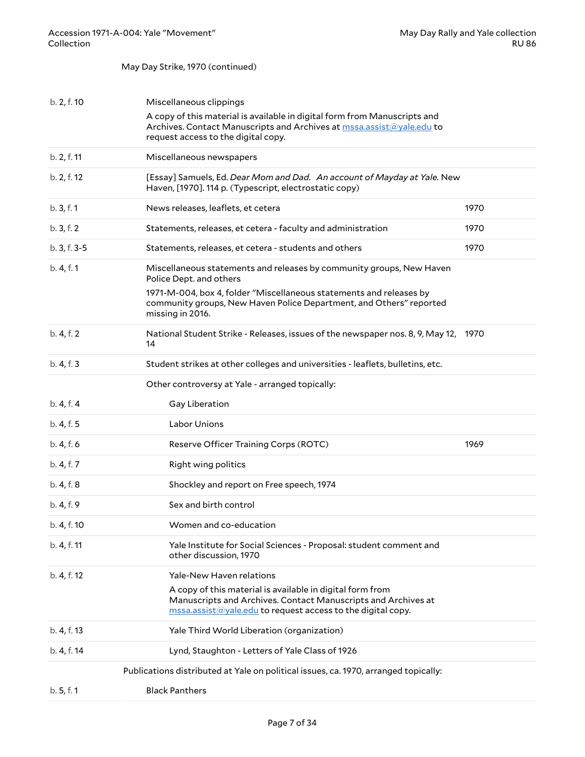#### May Day Strike, 1970 (continued)

| b. 2, f. 10  | Miscellaneous clippings                                                                                                                                                                                                               |      |
|--------------|---------------------------------------------------------------------------------------------------------------------------------------------------------------------------------------------------------------------------------------|------|
|              | A copy of this material is available in digital form from Manuscripts and<br>Archives. Contact Manuscripts and Archives at mssa.assist@yale.edu to<br>request access to the digital copy.                                             |      |
| b. 2, f. 11  | Miscellaneous newspapers                                                                                                                                                                                                              |      |
| b. 2, f. 12  | [Essay] Samuels, Ed. Dear Mom and Dad. An account of Mayday at Yale. New<br>Haven, [1970]. 114 p. (Typescript, electrostatic copy)                                                                                                    |      |
| b.3, f.1     | News releases, leaflets, et cetera                                                                                                                                                                                                    | 1970 |
| b. 3, f. 2   | Statements, releases, et cetera - faculty and administration                                                                                                                                                                          | 1970 |
| b. 3, f. 3-5 | Statements, releases, et cetera - students and others                                                                                                                                                                                 | 1970 |
| b. 4, f. 1   | Miscellaneous statements and releases by community groups, New Haven<br>Police Dept. and others                                                                                                                                       |      |
|              | 1971-M-004, box 4, folder "Miscellaneous statements and releases by<br>community groups, New Haven Police Department, and Others" reported<br>missing in 2016.                                                                        |      |
| b. 4, f. 2   | National Student Strike - Releases, issues of the newspaper nos. 8, 9, May 12, 1970<br>14                                                                                                                                             |      |
| b. 4, f. 3   | Student strikes at other colleges and universities - leaflets, bulletins, etc.                                                                                                                                                        |      |
|              | Other controversy at Yale - arranged topically:                                                                                                                                                                                       |      |
| b. 4, f. 4   | Gay Liberation                                                                                                                                                                                                                        |      |
| b. 4, f. 5   | Labor Unions                                                                                                                                                                                                                          |      |
| b. 4, f. 6   | Reserve Officer Training Corps (ROTC)                                                                                                                                                                                                 | 1969 |
| b. 4, f. 7   | Right wing politics                                                                                                                                                                                                                   |      |
| b. 4, f. 8   | Shockley and report on Free speech, 1974                                                                                                                                                                                              |      |
| b. 4, f. 9   | Sex and birth control                                                                                                                                                                                                                 |      |
| b. 4, f. 10  | Women and co-education                                                                                                                                                                                                                |      |
| b. 4, f. 11  | Yale Institute for Social Sciences - Proposal: student comment and<br>other discussion, 1970                                                                                                                                          |      |
| b. 4, f. 12  | Yale-New Haven relations                                                                                                                                                                                                              |      |
|              | A copy of this material is available in digital form from<br>Manuscripts and Archives. Contact Manuscripts and Archives at<br>$\overline{\text{mssa.} \text{assist}(\text{a} \text{yale.edu}}$ to request access to the digital copy. |      |
| b. 4, f. 13  | Yale Third World Liberation (organization)                                                                                                                                                                                            |      |
| b. 4, f. 14  | Lynd, Staughton - Letters of Yale Class of 1926                                                                                                                                                                                       |      |
|              | Publications distributed at Yale on political issues, ca. 1970, arranged topically:                                                                                                                                                   |      |
| b.5, f.1     | <b>Black Panthers</b>                                                                                                                                                                                                                 |      |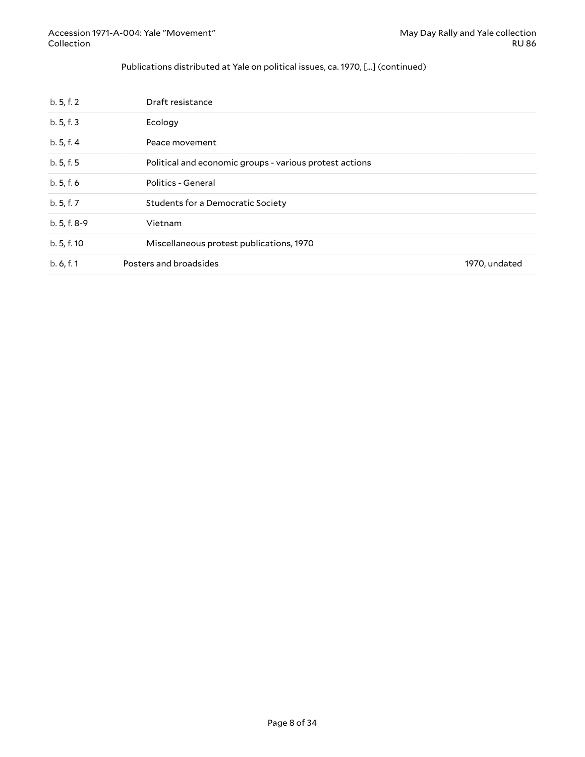#### Publications distributed at Yale on political issues, ca. 1970, [...] (continued)

| b. 6, f. 1   | Posters and broadsides                                  | 1970, undated |
|--------------|---------------------------------------------------------|---------------|
| b. 5, f. 10  | Miscellaneous protest publications, 1970                |               |
| b. 5, f. 8-9 | Vietnam                                                 |               |
| b.5, f.7     | <b>Students for a Democratic Society</b>                |               |
| b.5, f.6     | Politics - General                                      |               |
| b.5, f.5     | Political and economic groups - various protest actions |               |
| b.5, f.4     | Peace movement                                          |               |
| b.5, f.3     | Ecology                                                 |               |
| b.5, f.2     | Draft resistance                                        |               |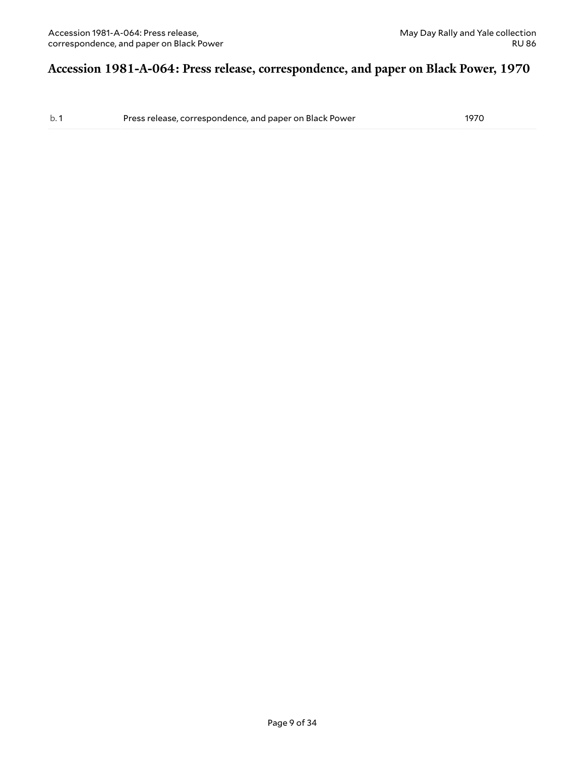#### <span id="page-8-0"></span>**Accession 1981-A-064: Press release, correspondence, and paper on Black Power, 1970**

b. 1 Press release, correspondence, and paper on Black Power 1970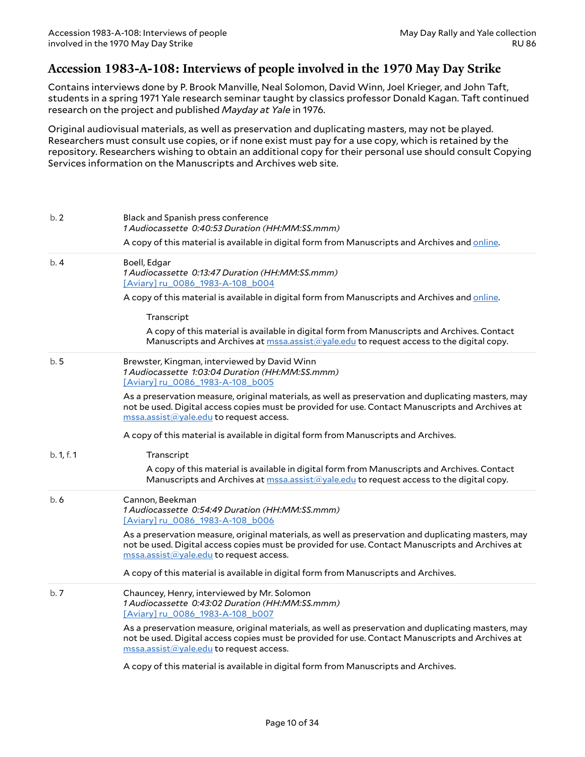#### <span id="page-9-0"></span>**Accession 1983-A-108: Interviews of people involved in the 1970 May Day Strike**

Contains interviews done by P. Brook Manville, Neal Solomon, David Winn, Joel Krieger, and John Taft, students in a spring 1971 Yale research seminar taught by classics professor Donald Kagan. Taft continued research on the project and published *Mayday at Yale* in 1976.

Original audiovisual materials, as well as preservation and duplicating masters, may not be played. Researchers must consult use copies, or if none exist must pay for a use copy, which is retained by the repository. Researchers wishing to obtain an additional copy for their personal use should consult Copying Services information on the Manuscripts and Archives web site.

| b.2        | Black and Spanish press conference<br>1 Audiocassette 0:40:53 Duration (HH:MM:SS.mmm)                                                                                                                                                                                            |
|------------|----------------------------------------------------------------------------------------------------------------------------------------------------------------------------------------------------------------------------------------------------------------------------------|
|            | A copy of this material is available in digital form from Manuscripts and Archives and online.                                                                                                                                                                                   |
| b.4        | Boell, Edgar<br>1 Audiocassette 0:13:47 Duration (HH:MM:SS.mmm)<br>[Aviary] ru_0086_1983-A-108_b004                                                                                                                                                                              |
|            | A copy of this material is available in digital form from Manuscripts and Archives and online.                                                                                                                                                                                   |
|            | Transcript                                                                                                                                                                                                                                                                       |
|            | A copy of this material is available in digital form from Manuscripts and Archives. Contact<br>Manuscripts and Archives at mssa.assist@yale.edu to request access to the digital copy.                                                                                           |
| b.5        | Brewster, Kingman, interviewed by David Winn<br>1 Audiocassette 1:03:04 Duration (HH:MM:SS.mmm)<br>[Aviary] ru 0086 1983-A-108 b005                                                                                                                                              |
|            | As a preservation measure, original materials, as well as preservation and duplicating masters, may<br>not be used. Digital access copies must be provided for use. Contact Manuscripts and Archives at<br>mssa.assist@yale.edu to request access.                               |
|            | A copy of this material is available in digital form from Manuscripts and Archives.                                                                                                                                                                                              |
| b. 1, f. 1 | Transcript                                                                                                                                                                                                                                                                       |
|            | A copy of this material is available in digital form from Manuscripts and Archives. Contact<br>Manuscripts and Archives at $\text{mssa}$ , assist $\textcircled{a}$ yale.edu to request access to the digital copy.                                                              |
| b.6        | Cannon, Beekman<br>1 Audiocassette 0:54:49 Duration (HH:MM:SS.mmm)<br>[Aviary] ru 0086 1983-A-108 b006                                                                                                                                                                           |
|            | As a preservation measure, original materials, as well as preservation and duplicating masters, may<br>not be used. Digital access copies must be provided for use. Contact Manuscripts and Archives at<br>$\overline{\text{mssa}.\text{assist}(a)}$ yale.edu to request access. |
|            | A copy of this material is available in digital form from Manuscripts and Archives.                                                                                                                                                                                              |
| b.7        | Chauncey, Henry, interviewed by Mr. Solomon<br>1 Audiocassette 0:43:02 Duration (HH:MM:SS.mmm)<br>[Aviary] ru 0086 1983-A-108 b007                                                                                                                                               |
|            | As a preservation measure, original materials, as well as preservation and duplicating masters, may<br>not be used. Digital access copies must be provided for use. Contact Manuscripts and Archives at<br>mssa.assist@yale.edu to request access.                               |
|            |                                                                                                                                                                                                                                                                                  |

A copy of this material is available in digital form from Manuscripts and Archives.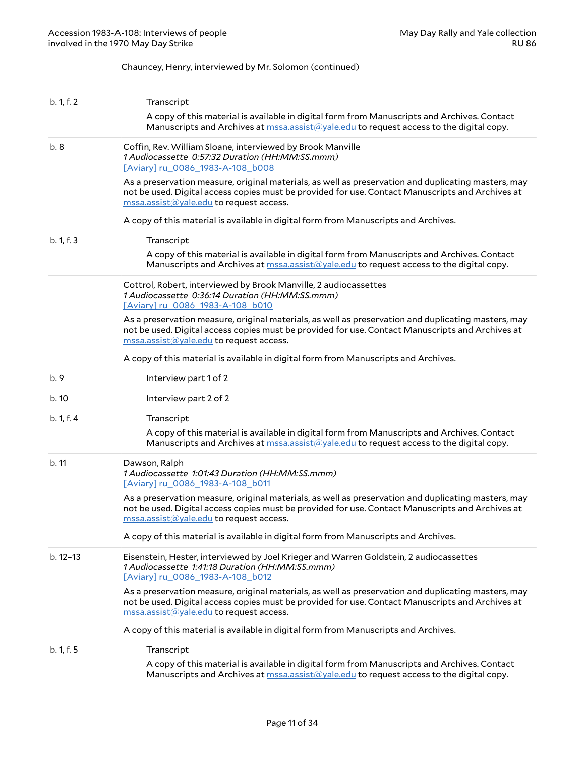#### Chauncey, Henry, interviewed by Mr. Solomon (continued)

| b. 1, f. 2 | Transcript                                                                                                                                                                                                                                                                       |
|------------|----------------------------------------------------------------------------------------------------------------------------------------------------------------------------------------------------------------------------------------------------------------------------------|
|            | A copy of this material is available in digital form from Manuscripts and Archives. Contact<br>Manuscripts and Archives at mssa.assist@yale.edu to request access to the digital copy.                                                                                           |
| b.8        | Coffin, Rev. William Sloane, interviewed by Brook Manville<br>1 Audiocassette 0:57:32 Duration (HH:MM:SS.mmm)<br>[Aviary] ru 0086 1983-A-108 b008                                                                                                                                |
|            | As a preservation measure, original materials, as well as preservation and duplicating masters, may<br>not be used. Digital access copies must be provided for use. Contact Manuscripts and Archives at<br>$\overline{\text{mssa}.\text{assist}(a)}$ yale.edu to request access. |
|            | A copy of this material is available in digital form from Manuscripts and Archives.                                                                                                                                                                                              |
| b. 1, f. 3 | Transcript                                                                                                                                                                                                                                                                       |
|            | A copy of this material is available in digital form from Manuscripts and Archives. Contact<br>Manuscripts and Archives at mssa.assist@yale.edu to request access to the digital copy.                                                                                           |
|            | Cottrol, Robert, interviewed by Brook Manville, 2 audiocassettes<br>1 Audiocassette 0:36:14 Duration (HH:MM:SS.mmm)<br>[Aviary] ru 0086 1983-A-108 b010                                                                                                                          |
|            | As a preservation measure, original materials, as well as preservation and duplicating masters, may<br>not be used. Digital access copies must be provided for use. Contact Manuscripts and Archives at<br>$\overline{\text{mssa}.\text{assist}(a)}$ yale.edu to request access. |
|            | A copy of this material is available in digital form from Manuscripts and Archives.                                                                                                                                                                                              |
| b.9        | Interview part 1 of 2                                                                                                                                                                                                                                                            |
| b.10       | Interview part 2 of 2                                                                                                                                                                                                                                                            |
| b. 1, f. 4 | Transcript                                                                                                                                                                                                                                                                       |
|            | A copy of this material is available in digital form from Manuscripts and Archives. Contact<br>Manuscripts and Archives at mssa.assist@yale.edu to request access to the digital copy.                                                                                           |
| b.11       | Dawson, Ralph<br>1 Audiocassette 1:01:43 Duration (HH:MM:SS.mmm)<br>[Aviary] ru 0086 1983-A-108 b011                                                                                                                                                                             |
|            | As a preservation measure, original materials, as well as preservation and duplicating masters, may<br>not be used. Digital access copies must be provided for use. Contact Manuscripts and Archives at                                                                          |
|            | mssa.assist@yale.edu to request access.                                                                                                                                                                                                                                          |
|            | A copy of this material is available in digital form from Manuscripts and Archives.                                                                                                                                                                                              |
| $b.12-13$  | Eisenstein, Hester, interviewed by Joel Krieger and Warren Goldstein, 2 audiocassettes<br>1 Audiocassette 1:41:18 Duration (HH:MM:SS.mmm)<br>[Aviary] ru 0086 1983-A-108 b012                                                                                                    |
|            | As a preservation measure, original materials, as well as preservation and duplicating masters, may<br>not be used. Digital access copies must be provided for use. Contact Manuscripts and Archives at<br>mssa.assist@yale.edu to request access.                               |
|            | A copy of this material is available in digital form from Manuscripts and Archives.                                                                                                                                                                                              |
| b. 1, f. 5 | Transcript                                                                                                                                                                                                                                                                       |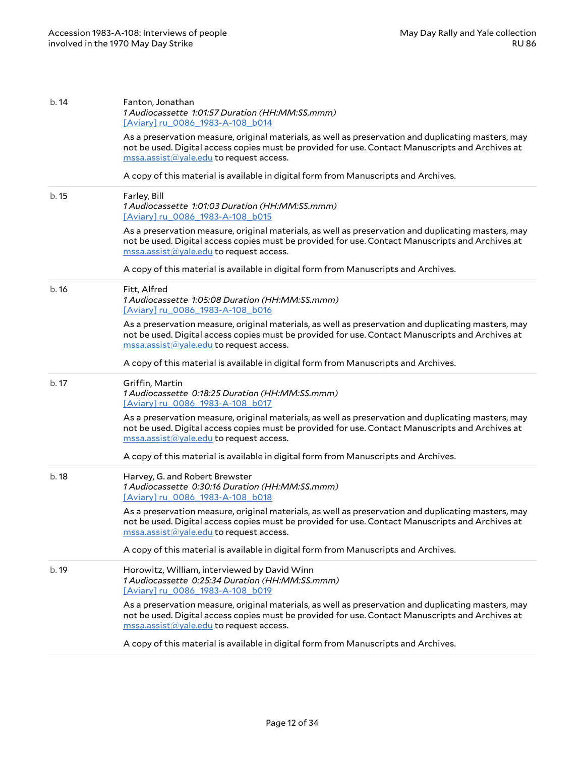| b.14  | Fanton, Jonathan<br>1 Audiocassette 1:01:57 Duration (HH:MM:SS.mmm)<br>[Aviary] ru 0086 1983-A-108 b014<br>As a preservation measure, original materials, as well as preservation and duplicating masters, may<br>not be used. Digital access copies must be provided for use. Contact Manuscripts and Archives at<br>mssa.assist@yale.edu to request access.<br>A copy of this material is available in digital form from Manuscripts and Archives. |
|-------|------------------------------------------------------------------------------------------------------------------------------------------------------------------------------------------------------------------------------------------------------------------------------------------------------------------------------------------------------------------------------------------------------------------------------------------------------|
|       |                                                                                                                                                                                                                                                                                                                                                                                                                                                      |
| b. 15 | Farley, Bill<br>1 Audiocassette 1:01:03 Duration (HH:MM:SS.mmm)<br>[Aviary] ru 0086 1983-A-108 b015                                                                                                                                                                                                                                                                                                                                                  |
|       | As a preservation measure, original materials, as well as preservation and duplicating masters, may<br>not be used. Digital access copies must be provided for use. Contact Manuscripts and Archives at<br>mssa.assist@yale.edu to request access.                                                                                                                                                                                                   |
|       | A copy of this material is available in digital form from Manuscripts and Archives.                                                                                                                                                                                                                                                                                                                                                                  |
| b.16  | Fitt, Alfred<br>1 Audiocassette 1:05:08 Duration (HH:MM:SS.mmm)<br>[Aviary] ru 0086 1983-A-108 b016                                                                                                                                                                                                                                                                                                                                                  |
|       | As a preservation measure, original materials, as well as preservation and duplicating masters, may<br>not be used. Digital access copies must be provided for use. Contact Manuscripts and Archives at<br>$\overline{\text{mssa}.\text{assist}(a\text{yale.edu}}$ to request access.                                                                                                                                                                |
|       | A copy of this material is available in digital form from Manuscripts and Archives.                                                                                                                                                                                                                                                                                                                                                                  |
| b.17  | Griffin, Martin<br>1 Audiocassette 0:18:25 Duration (HH:MM:SS.mmm)<br>[Aviary] ru 0086 1983-A-108 b017                                                                                                                                                                                                                                                                                                                                               |
|       | As a preservation measure, original materials, as well as preservation and duplicating masters, may<br>not be used. Digital access copies must be provided for use. Contact Manuscripts and Archives at<br>mssa.assist@yale.edu to request access.                                                                                                                                                                                                   |
|       | A copy of this material is available in digital form from Manuscripts and Archives.                                                                                                                                                                                                                                                                                                                                                                  |
| b. 18 | Harvey, G. and Robert Brewster<br>1 Audiocassette 0:30:16 Duration (HH:MM:SS.mmm)<br>[Aviary] ru 0086 1983-A-108 b018                                                                                                                                                                                                                                                                                                                                |
|       | As a preservation measure, original materials, as well as preservation and duplicating masters, may<br>not be used. Digital access copies must be provided for use. Contact Manuscripts and Archives at<br>$\overline{\text{mssa}.\text{assist}(\text{a}yale.edu}$ to request access.                                                                                                                                                                |
|       | A copy of this material is available in digital form from Manuscripts and Archives.                                                                                                                                                                                                                                                                                                                                                                  |
| b. 19 | Horowitz, William, interviewed by David Winn<br>1 Audiocassette 0:25:34 Duration (HH:MM:SS.mmm)<br>[Aviary] ru 0086 1983-A-108 b019                                                                                                                                                                                                                                                                                                                  |
|       | As a preservation measure, original materials, as well as preservation and duplicating masters, may<br>not be used. Digital access copies must be provided for use. Contact Manuscripts and Archives at<br>$\overline{\text{mssa}.\text{assist}(\text{a}yale.edu}$ to request access.                                                                                                                                                                |
|       | A copy of this material is available in digital form from Manuscripts and Archives.                                                                                                                                                                                                                                                                                                                                                                  |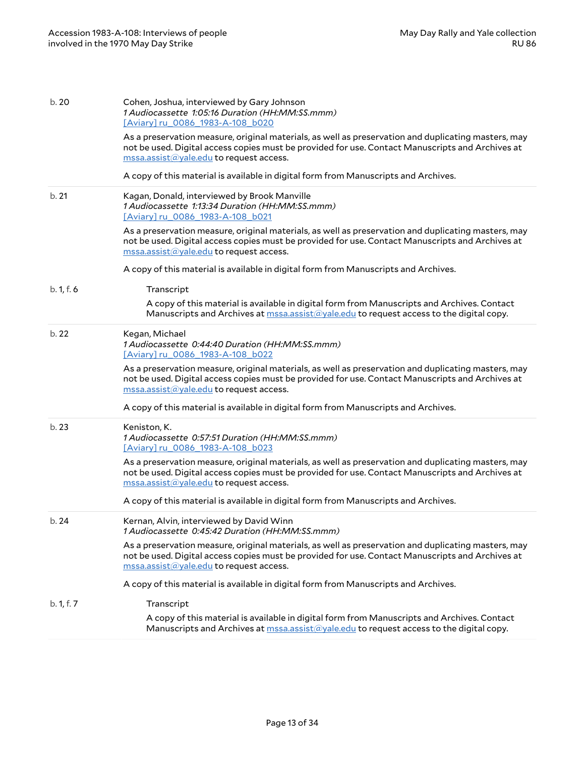| b. 20      | Cohen, Joshua, interviewed by Gary Johnson<br>1 Audiocassette 1:05:16 Duration (HH:MM:SS.mmm)<br>[Aviary] ru 0086 1983-A-108 b020<br>As a preservation measure, original materials, as well as preservation and duplicating masters, may<br>not be used. Digital access copies must be provided for use. Contact Manuscripts and Archives at<br>mssa.assist@yale.edu to request access.<br>A copy of this material is available in digital form from Manuscripts and Archives.   |
|------------|----------------------------------------------------------------------------------------------------------------------------------------------------------------------------------------------------------------------------------------------------------------------------------------------------------------------------------------------------------------------------------------------------------------------------------------------------------------------------------|
| b.21       | Kagan, Donald, interviewed by Brook Manville<br>1 Audiocassette 1:13:34 Duration (HH:MM:SS.mmm)<br>[Aviary] ru 0086 1983-A-108 b021<br>As a preservation measure, original materials, as well as preservation and duplicating masters, may<br>not be used. Digital access copies must be provided for use. Contact Manuscripts and Archives at<br>mssa.assist@yale.edu to request access.<br>A copy of this material is available in digital form from Manuscripts and Archives. |
| b. 1, f. 6 | Transcript<br>A copy of this material is available in digital form from Manuscripts and Archives. Contact<br>Manuscripts and Archives at <b>mssa.assist@yale.edu</b> to request access to the digital copy.                                                                                                                                                                                                                                                                      |
| b.22       | Kegan, Michael<br>1 Audiocassette 0:44:40 Duration (HH:MM:SS.mmm)<br>[Aviary] ru_0086_1983-A-108_b022<br>As a preservation measure, original materials, as well as preservation and duplicating masters, may<br>not be used. Digital access copies must be provided for use. Contact Manuscripts and Archives at<br>mssa.assist@yale.edu to request access.<br>A copy of this material is available in digital form from Manuscripts and Archives.                               |
| b.23       | Keniston, K.<br>1 Audiocassette 0:57:51 Duration (HH:MM:SS.mmm)<br>[Aviary] ru_0086_1983-A-108_b023<br>As a preservation measure, original materials, as well as preservation and duplicating masters, may<br>not be used. Digital access copies must be provided for use. Contact Manuscripts and Archives at<br>mssa.assist@yale.edu to request access.<br>A copy of this material is available in digital form from Manuscripts and Archives.                                 |
| b. 24      | Kernan, Alvin, interviewed by David Winn<br>1 Audiocassette 0:45:42 Duration (HH:MM:SS.mmm)<br>As a preservation measure, original materials, as well as preservation and duplicating masters, may<br>not be used. Digital access copies must be provided for use. Contact Manuscripts and Archives at<br>$\overline{\text{mssa}.\text{assist}(a)}$ yale.edu to request access.<br>A copy of this material is available in digital form from Manuscripts and Archives.           |
| b. 1, f. 7 | Transcript<br>A copy of this material is available in digital form from Manuscripts and Archives. Contact<br>Manuscripts and Archives at mssa.assist@yale.edu to request access to the digital copy.                                                                                                                                                                                                                                                                             |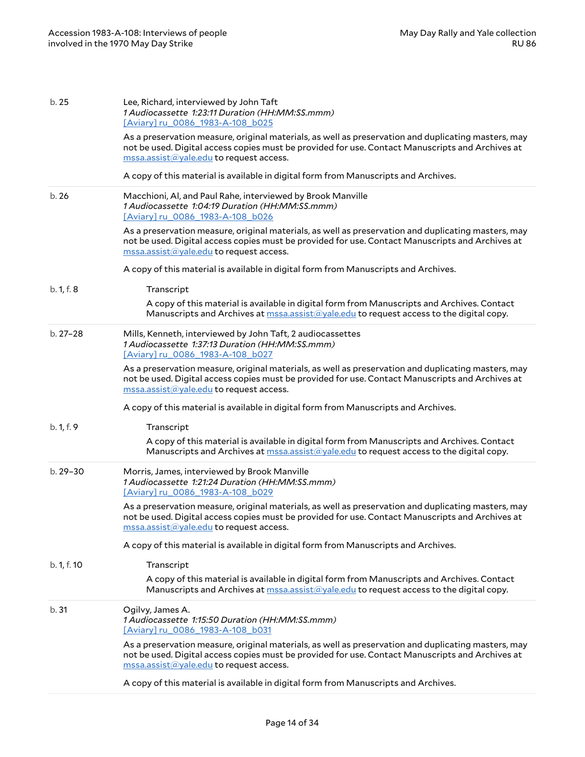| b.25        | Lee, Richard, interviewed by John Taft<br>1 Audiocassette 1:23:11 Duration (HH:MM:SS.mmm)<br>[Aviary] ru 0086 1983-A-108 b025                                                                                                                                                         |
|-------------|---------------------------------------------------------------------------------------------------------------------------------------------------------------------------------------------------------------------------------------------------------------------------------------|
|             | As a preservation measure, original materials, as well as preservation and duplicating masters, may<br>not be used. Digital access copies must be provided for use. Contact Manuscripts and Archives at<br>$\overline{\text{mssa}.\text{assist}(a)}$ yale.edu to request access.      |
|             | A copy of this material is available in digital form from Manuscripts and Archives.                                                                                                                                                                                                   |
| b.26        | Macchioni, Al, and Paul Rahe, interviewed by Brook Manville<br>1 Audiocassette 1:04:19 Duration (HH:MM:SS.mmm)<br>[Aviary] ru 0086 1983-A-108 b026                                                                                                                                    |
|             | As a preservation measure, original materials, as well as preservation and duplicating masters, may<br>not be used. Digital access copies must be provided for use. Contact Manuscripts and Archives at<br>$\overline{\text{mssa}.\text{assist}(a\text{yale.edu}}$ to request access. |
|             | A copy of this material is available in digital form from Manuscripts and Archives.                                                                                                                                                                                                   |
| b. 1, f. 8  | Transcript                                                                                                                                                                                                                                                                            |
|             | A copy of this material is available in digital form from Manuscripts and Archives. Contact<br>Manuscripts and Archives at <b>mssa.assist@yale.edu</b> to request access to the digital copy.                                                                                         |
| $b.27 - 28$ | Mills, Kenneth, interviewed by John Taft, 2 audiocassettes<br>1 Audiocassette 1:37:13 Duration (HH:MM:SS.mmm)<br>[Aviary] ru_0086_1983-A-108_b027                                                                                                                                     |
|             | As a preservation measure, original materials, as well as preservation and duplicating masters, may<br>not be used. Digital access copies must be provided for use. Contact Manuscripts and Archives at<br>mssa.assist@yale.edu to request access.                                    |
|             | A copy of this material is available in digital form from Manuscripts and Archives.                                                                                                                                                                                                   |
| b. 1, f. 9  | Transcript                                                                                                                                                                                                                                                                            |
|             | A copy of this material is available in digital form from Manuscripts and Archives. Contact<br>Manuscripts and Archives at <b>mssa.assist@yale.edu</b> to request access to the digital copy.                                                                                         |
| $b.29 - 30$ | Morris, James, interviewed by Brook Manville<br>1 Audiocassette 1:21:24 Duration (HH:MM:SS.mmm)<br>[Aviary] ru 0086 1983-A-108 b029                                                                                                                                                   |
|             | As a preservation measure, original materials, as well as preservation and duplicating masters, may<br>not be used. Digital access copies must be provided for use. Contact Manuscripts and Archives at<br>$\overline{\text{mssa}.\text{assert}}$ a vale.edu to request access.       |
|             | A copy of this material is available in digital form from Manuscripts and Archives.                                                                                                                                                                                                   |
| b. 1, f. 10 | Transcript                                                                                                                                                                                                                                                                            |
|             | A copy of this material is available in digital form from Manuscripts and Archives. Contact<br>Manuscripts and Archives at $msa.assist(\partial yale.edu)$ to request access to the digital copy.                                                                                     |
| b.31        | Ogilvy, James A.<br>1 Audiocassette 1:15:50 Duration (HH:MM:SS.mmm)<br>[Aviary] ru 0086 1983-A-108 b031                                                                                                                                                                               |
|             | As a preservation measure, original materials, as well as preservation and duplicating masters, may<br>not be used. Digital access copies must be provided for use. Contact Manuscripts and Archives at<br>$\overline{\text{mssa}.\text{assist}(a)}$ yale.edu to request access.      |
|             | A copy of this material is available in digital form from Manuscripts and Archives.                                                                                                                                                                                                   |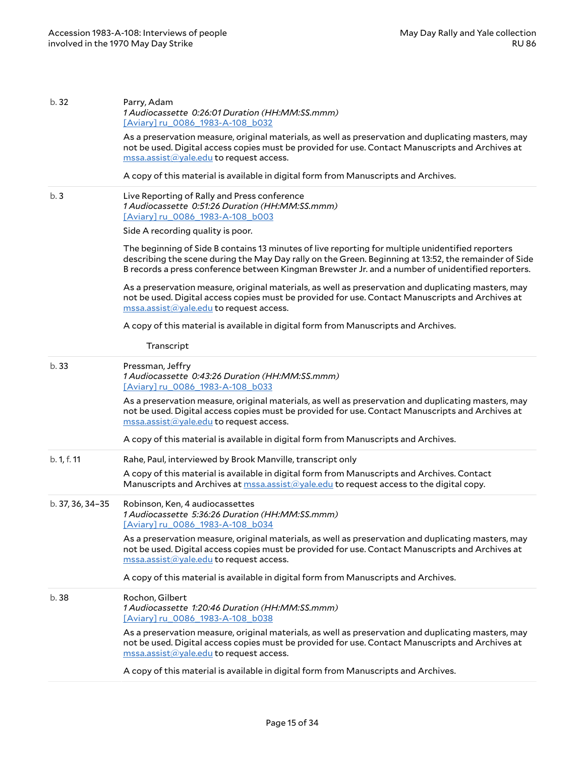| b.32             | Parry, Adam<br>1 Audiocassette 0:26:01 Duration (HH:MM:SS.mmm)<br>[Aviary] ru 0086 1983-A-108 b032<br>As a preservation measure, original materials, as well as preservation and duplicating masters, may<br>not be used. Digital access copies must be provided for use. Contact Manuscripts and Archives at<br>mssa.assist@yale.edu to request access.<br>A copy of this material is available in digital form from Manuscripts and Archives. |
|------------------|-------------------------------------------------------------------------------------------------------------------------------------------------------------------------------------------------------------------------------------------------------------------------------------------------------------------------------------------------------------------------------------------------------------------------------------------------|
| b.3              | Live Reporting of Rally and Press conference<br>1 Audiocassette 0:51:26 Duration (HH:MM:SS.mmm)<br>[Aviary] ru 0086 1983-A-108 b003<br>Side A recording quality is poor.                                                                                                                                                                                                                                                                        |
|                  | The beginning of Side B contains 13 minutes of live reporting for multiple unidentified reporters<br>describing the scene during the May Day rally on the Green. Beginning at 13:52, the remainder of Side<br>B records a press conference between Kingman Brewster Jr. and a number of unidentified reporters.                                                                                                                                 |
|                  | As a preservation measure, original materials, as well as preservation and duplicating masters, may<br>not be used. Digital access copies must be provided for use. Contact Manuscripts and Archives at<br>mssa.assist@yale.edu to request access.                                                                                                                                                                                              |
|                  | A copy of this material is available in digital form from Manuscripts and Archives.<br>Transcript                                                                                                                                                                                                                                                                                                                                               |
|                  |                                                                                                                                                                                                                                                                                                                                                                                                                                                 |
| b.33             | Pressman, Jeffry<br>1 Audiocassette 0:43:26 Duration (HH:MM:SS.mmm)<br>[Aviary] ru 0086 1983-A-108 b033                                                                                                                                                                                                                                                                                                                                         |
|                  | As a preservation measure, original materials, as well as preservation and duplicating masters, may<br>not be used. Digital access copies must be provided for use. Contact Manuscripts and Archives at<br>$\overline{\text{mssa}.\text{assist}(a)}$ yale.edu to request access.                                                                                                                                                                |
|                  | A copy of this material is available in digital form from Manuscripts and Archives.                                                                                                                                                                                                                                                                                                                                                             |
| b. 1, f. 11      | Rahe, Paul, interviewed by Brook Manville, transcript only                                                                                                                                                                                                                                                                                                                                                                                      |
|                  | A copy of this material is available in digital form from Manuscripts and Archives. Contact<br>Manuscripts and Archives at $msa.assist(\partial yale.edu)$ to request access to the digital copy.                                                                                                                                                                                                                                               |
| b. 37, 36, 34-35 | Robinson, Ken, 4 audiocassettes<br>1 Audiocassette 5:36:26 Duration (HH:MM:SS.mmm)<br><u>[Aviary] ru 0086 1983-A-108 b034</u>                                                                                                                                                                                                                                                                                                                   |
|                  | As a preservation measure, original materials, as well as preservation and duplicating masters, may<br>not be used. Digital access copies must be provided for use. Contact Manuscripts and Archives at<br>mssa.assist@yale.edu to request access.                                                                                                                                                                                              |
|                  | A copy of this material is available in digital form from Manuscripts and Archives.                                                                                                                                                                                                                                                                                                                                                             |
| b.38             | Rochon, Gilbert<br>1 Audiocassette 1:20:46 Duration (HH:MM:SS.mmm)<br>[Aviary] ru 0086 1983-A-108 b038                                                                                                                                                                                                                                                                                                                                          |
|                  | As a preservation measure, original materials, as well as preservation and duplicating masters, may<br>not be used. Digital access copies must be provided for use. Contact Manuscripts and Archives at<br>mssa.assist@yale.edu to request access.                                                                                                                                                                                              |
|                  | A copy of this material is available in digital form from Manuscripts and Archives.                                                                                                                                                                                                                                                                                                                                                             |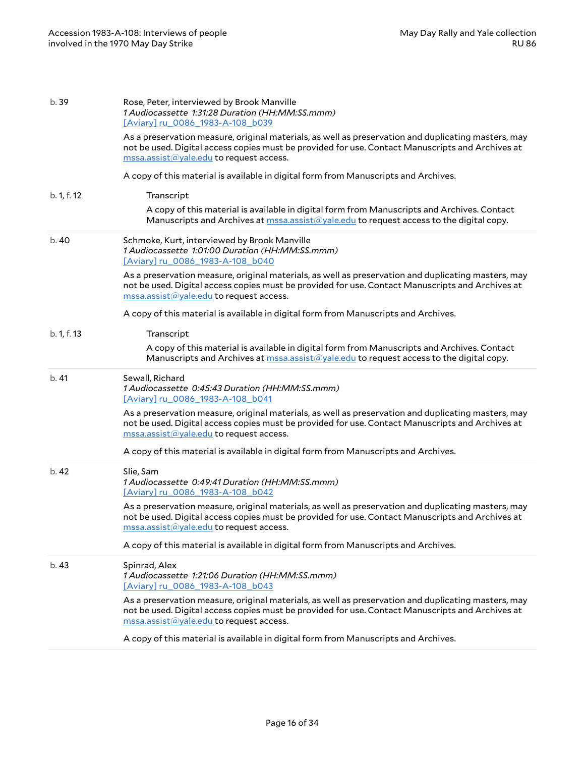| b. 39       | Rose, Peter, interviewed by Brook Manville<br>1 Audiocassette 1:31:28 Duration (HH:MM:SS.mmm)<br>[Aviary] ru 0086 1983-A-108 b039                                                                                                                                                 |
|-------------|-----------------------------------------------------------------------------------------------------------------------------------------------------------------------------------------------------------------------------------------------------------------------------------|
|             | As a preservation measure, original materials, as well as preservation and duplicating masters, may<br>not be used. Digital access copies must be provided for use. Contact Manuscripts and Archives at<br>mssa.assist@yale.edu to request access.                                |
|             | A copy of this material is available in digital form from Manuscripts and Archives.                                                                                                                                                                                               |
| b. 1, f. 12 | Transcript                                                                                                                                                                                                                                                                        |
|             | A copy of this material is available in digital form from Manuscripts and Archives. Contact<br>Manuscripts and Archives at $\overline{mssa.assist}(\partial yale.edu$ to request access to the digital copy.                                                                      |
| b. 40       | Schmoke, Kurt, interviewed by Brook Manville<br>1 Audiocassette 1:01:00 Duration (HH:MM:SS.mmm)<br>[Aviary] ru 0086 1983-A-108 b040                                                                                                                                               |
|             | As a preservation measure, original materials, as well as preservation and duplicating masters, may<br>not be used. Digital access copies must be provided for use. Contact Manuscripts and Archives at<br>mssa.assist@yale.edu to request access.                                |
|             | A copy of this material is available in digital form from Manuscripts and Archives.                                                                                                                                                                                               |
| b. 1, f. 13 | Transcript                                                                                                                                                                                                                                                                        |
|             | A copy of this material is available in digital form from Manuscripts and Archives. Contact<br>Manuscripts and Archives at <b>mssa.assist@yale.edu</b> to request access to the digital copy.                                                                                     |
| b. 41       | Sewall, Richard<br>1 Audiocassette 0:45:43 Duration (HH:MM:SS.mmm)<br>[Aviary] ru 0086 1983-A-108 b041                                                                                                                                                                            |
|             | As a preservation measure, original materials, as well as preservation and duplicating masters, may<br>not be used. Digital access copies must be provided for use. Contact Manuscripts and Archives at<br>mssa.assist@yale.edu to request access.                                |
|             | A copy of this material is available in digital form from Manuscripts and Archives.                                                                                                                                                                                               |
| b. 42       | Slie, Sam<br>1 Audiocassette 0:49:41 Duration (HH:MM:SS.mmm)<br>[Aviary] ru 0086 1983-A-108 b042                                                                                                                                                                                  |
|             | As a preservation measure, original materials, as well as preservation and duplicating masters, may<br>not be used. Digital access copies must be provided for use. Contact Manuscripts and Archives at<br>$\overline{\text{mssa.} \text{assist}(a)}$ yale.edu to request access. |
|             | A copy of this material is available in digital form from Manuscripts and Archives.                                                                                                                                                                                               |
| b.43        | Spinrad, Alex<br>1 Audiocassette 1:21:06 Duration (HH:MM:SS.mmm)<br>[Aviary] ru 0086 1983-A-108 b043                                                                                                                                                                              |
|             | As a preservation measure, original materials, as well as preservation and duplicating masters, may<br>not be used. Digital access copies must be provided for use. Contact Manuscripts and Archives at<br>mssa.assist@yale.edu to request access.                                |
|             | A copy of this material is available in digital form from Manuscripts and Archives.                                                                                                                                                                                               |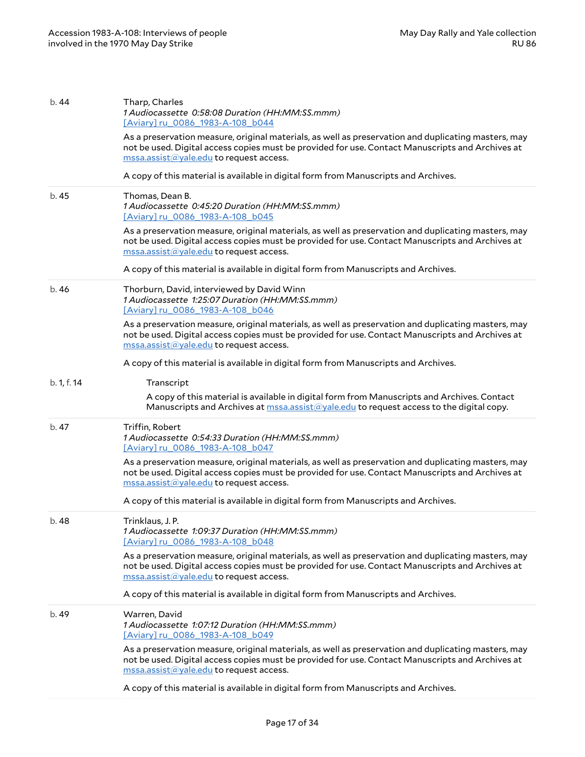| b. 44       | Tharp, Charles<br>1 Audiocassette 0:58:08 Duration (HH:MM:SS.mmm)<br>[Aviary] ru 0086 1983-A-108 b044                                                                                                                                                                            |
|-------------|----------------------------------------------------------------------------------------------------------------------------------------------------------------------------------------------------------------------------------------------------------------------------------|
|             | As a preservation measure, original materials, as well as preservation and duplicating masters, may<br>not be used. Digital access copies must be provided for use. Contact Manuscripts and Archives at<br>$\overline{\text{mssa}.\text{assist}(a)}$ yale.edu to request access. |
|             | A copy of this material is available in digital form from Manuscripts and Archives.                                                                                                                                                                                              |
| b.45        | Thomas, Dean B.<br>1 Audiocassette 0:45:20 Duration (HH:MM:SS.mmm)<br>[Aviary] ru 0086 1983-A-108 b045                                                                                                                                                                           |
|             | As a preservation measure, original materials, as well as preservation and duplicating masters, may<br>not be used. Digital access copies must be provided for use. Contact Manuscripts and Archives at<br>mssa.assist@yale.edu to request access.                               |
|             | A copy of this material is available in digital form from Manuscripts and Archives.                                                                                                                                                                                              |
| b.46        | Thorburn, David, interviewed by David Winn<br>1 Audiocassette 1:25:07 Duration (HH:MM:SS.mmm)<br>[Aviary] ru 0086 1983-A-108 b046                                                                                                                                                |
|             | As a preservation measure, original materials, as well as preservation and duplicating masters, may<br>not be used. Digital access copies must be provided for use. Contact Manuscripts and Archives at<br>$\overline{\text{mssa}.\text{assist}(a)}$ yale.edu to request access. |
|             | A copy of this material is available in digital form from Manuscripts and Archives.                                                                                                                                                                                              |
| b. 1, f. 14 | Transcript                                                                                                                                                                                                                                                                       |
|             | A copy of this material is available in digital form from Manuscripts and Archives. Contact<br>Manuscripts and Archives at mssa.assist@yale.edu to request access to the digital copy.                                                                                           |
| b.47        | Triffin, Robert<br>1 Audiocassette 0:54:33 Duration (HH:MM:SS.mmm)<br>[Aviary] ru_0086_1983-A-108_b047                                                                                                                                                                           |
|             | As a preservation measure, original materials, as well as preservation and duplicating masters, may<br>not be used. Digital access copies must be provided for use. Contact Manuscripts and Archives at<br>mssa.assist@yale.edu to request access.                               |
|             | A copy of this material is available in digital form from Manuscripts and Archives.                                                                                                                                                                                              |
| b. 48       | Trinklaus, J. P.<br>1 Audiocassette 1:09:37 Duration (HH:MM:SS.mmm)<br>[Aviary] ru_0086_1983-A-108_b048                                                                                                                                                                          |
|             | As a preservation measure, original materials, as well as preservation and duplicating masters, may<br>not be used. Digital access copies must be provided for use. Contact Manuscripts and Archives at<br>mssa.assist@yale.edu to request access.                               |
|             | A copy of this material is available in digital form from Manuscripts and Archives.                                                                                                                                                                                              |
| b. 49       | Warren, David<br>1 Audiocassette 1:07:12 Duration (HH:MM:SS.mmm)<br>[Aviary] ru 0086 1983-A-108 b049                                                                                                                                                                             |
|             | As a preservation measure, original materials, as well as preservation and duplicating masters, may<br>not be used. Digital access copies must be provided for use. Contact Manuscripts and Archives at<br>mssa.assist@yale.edu to request access.                               |
|             | A copy of this material is available in digital form from Manuscripts and Archives.                                                                                                                                                                                              |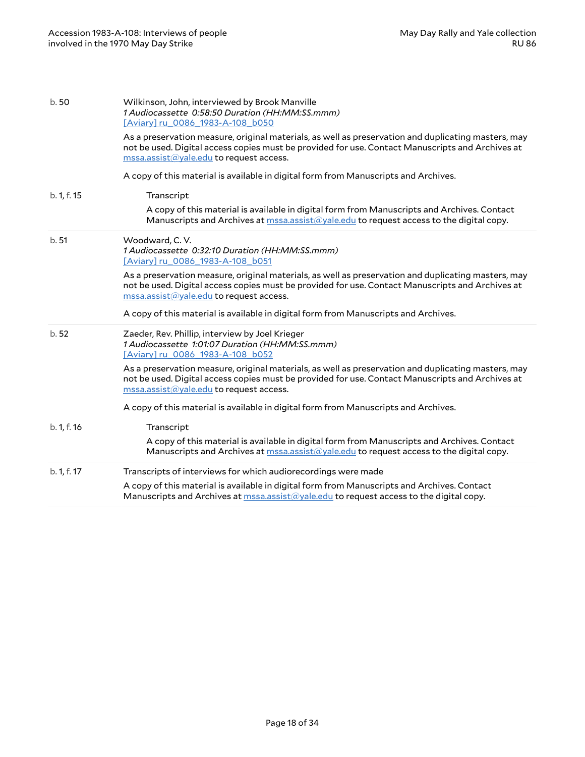| b.50        | Wilkinson, John, interviewed by Brook Manville<br>1 Audiocassette 0:58:50 Duration (HH:MM:SS.mmm)<br>[Aviary] ru 0086 1983-A-108 b050                                                                                                              |
|-------------|----------------------------------------------------------------------------------------------------------------------------------------------------------------------------------------------------------------------------------------------------|
|             | As a preservation measure, original materials, as well as preservation and duplicating masters, may<br>not be used. Digital access copies must be provided for use. Contact Manuscripts and Archives at<br>mssa.assist@yale.edu to request access. |
|             | A copy of this material is available in digital form from Manuscripts and Archives.                                                                                                                                                                |
| b. 1, f. 15 | Transcript                                                                                                                                                                                                                                         |
|             | A copy of this material is available in digital form from Manuscripts and Archives. Contact<br>Manuscripts and Archives at mssa.assist@yale.edu to request access to the digital copy.                                                             |
| b.51        | Woodward, C.V.<br>1 Audiocassette 0:32:10 Duration (HH:MM:SS.mmm)<br>[Aviary] ru 0086 1983-A-108 b051                                                                                                                                              |
|             | As a preservation measure, original materials, as well as preservation and duplicating masters, may<br>not be used. Digital access copies must be provided for use. Contact Manuscripts and Archives at<br>mssa.assist@yale.edu to request access. |
|             | A copy of this material is available in digital form from Manuscripts and Archives.                                                                                                                                                                |
| b.52        | Zaeder, Rev. Phillip, interview by Joel Krieger<br>1 Audiocassette 1:01:07 Duration (HH:MM:SS.mmm)<br>[Aviary] ru_0086_1983-A-108_b052                                                                                                             |
|             | As a preservation measure, original materials, as well as preservation and duplicating masters, may<br>not be used. Digital access copies must be provided for use. Contact Manuscripts and Archives at<br>mssa.assist@yale.edu to request access. |
|             | A copy of this material is available in digital form from Manuscripts and Archives.                                                                                                                                                                |
| b. 1, f. 16 | Transcript                                                                                                                                                                                                                                         |
|             | A copy of this material is available in digital form from Manuscripts and Archives. Contact<br>Manuscripts and Archives at mssa.assist@yale.edu to request access to the digital copy.                                                             |
| b. 1, f. 17 | Transcripts of interviews for which audiorecordings were made                                                                                                                                                                                      |
|             | A copy of this material is available in digital form from Manuscripts and Archives. Contact<br>Manuscripts and Archives at $\overline{mssa.assist}(\partial yale.edu$ to request access to the digital copy.                                       |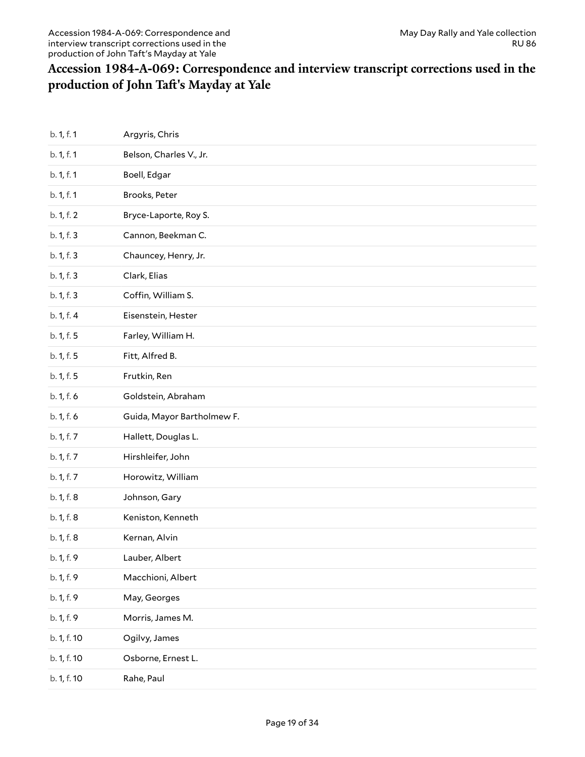### <span id="page-18-0"></span>**Accession 1984-A-069: Correspondence and interview transcript corrections used in the production of John Ta6's Mayday at Yale**

| b. 1, f. 1  | Argyris, Chris             |
|-------------|----------------------------|
| b. 1, f. 1  | Belson, Charles V., Jr.    |
| b. 1, f. 1  | Boell, Edgar               |
| b. 1, f. 1  | Brooks, Peter              |
| b. 1, f. 2  | Bryce-Laporte, Roy S.      |
| b. 1, f. 3  | Cannon, Beekman C.         |
| b. 1, f. 3  | Chauncey, Henry, Jr.       |
| b. 1, f. 3  | Clark, Elias               |
| b. 1, f. 3  | Coffin, William S.         |
| b. 1, f. 4  | Eisenstein, Hester         |
| b. 1, f. 5  | Farley, William H.         |
| b. 1, f. 5  | Fitt, Alfred B.            |
| b. 1, f. 5  | Frutkin, Ren               |
| b. 1, f. 6  | Goldstein, Abraham         |
| b. 1, f. 6  | Guida, Mayor Bartholmew F. |
|             |                            |
| b. 1, f. 7  | Hallett, Douglas L.        |
| b. 1, f. 7  | Hirshleifer, John          |
| b. 1, f. 7  | Horowitz, William          |
| b. 1, f. 8  | Johnson, Gary              |
| b. 1, f. 8  | Keniston, Kenneth          |
| b. 1, f. 8  | Kernan, Alvin              |
| b. 1, f. 9  | Lauber, Albert             |
| b. 1, f. 9  | Macchioni, Albert          |
| b. 1, f. 9  | May, Georges               |
| b. 1, f. 9  | Morris, James M.           |
| b. 1, f. 10 | Ogilvy, James              |
| b. 1, f. 10 | Osborne, Ernest L.         |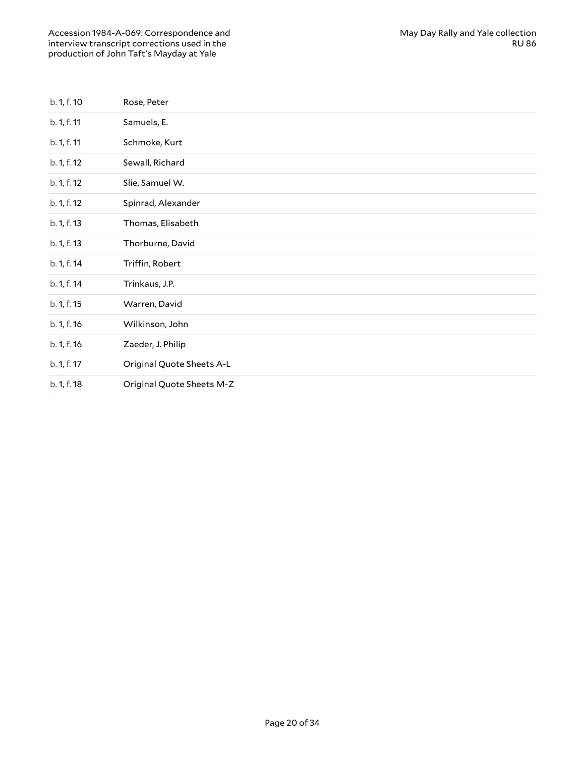| b. 1, f. 10 | Rose, Peter               |
|-------------|---------------------------|
| b. 1, f. 11 | Samuels, E.               |
| b. 1, f. 11 | Schmoke, Kurt             |
| b. 1, f. 12 | Sewall, Richard           |
| b. 1, f. 12 | Slie, Samuel W.           |
| b. 1, f. 12 | Spinrad, Alexander        |
| b. 1, f. 13 | Thomas, Elisabeth         |
| b. 1, f. 13 | Thorburne, David          |
| b. 1, f. 14 | Triffin, Robert           |
| b. 1, f. 14 | Trinkaus, J.P.            |
| b. 1, f. 15 | Warren, David             |
| b. 1, f. 16 | Wilkinson, John           |
| b. 1, f. 16 | Zaeder, J. Philip         |
| b. 1, f. 17 | Original Quote Sheets A-L |
| b. 1, f. 18 | Original Quote Sheets M-Z |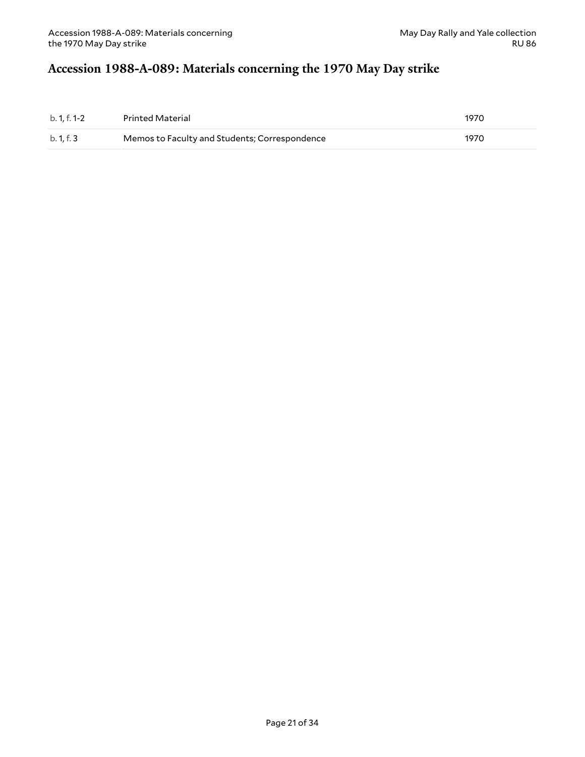# <span id="page-20-0"></span>**Accession 1988-A-089: Materials concerning the 1970 May Day strike**

| b. 1, f. 1-2 | Printed Material                              | 1970 |
|--------------|-----------------------------------------------|------|
| b. 1. f. 3   | Memos to Faculty and Students; Correspondence | 1970 |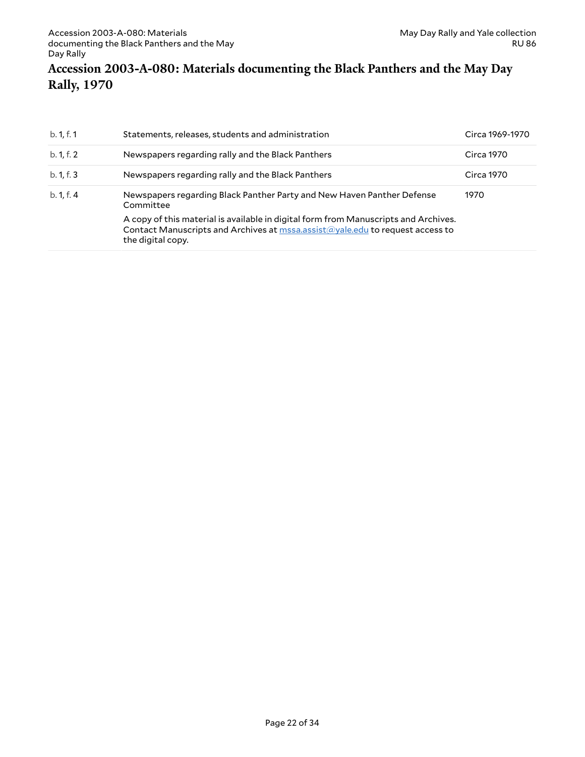#### <span id="page-21-0"></span>**Accession 2003-A-080: Materials documenting the Black Panthers and the May Day Rally, 1970**

| b. 1, f. 1 | Statements, releases, students and administration                                                                                                                                         | Circa 1969-1970 |
|------------|-------------------------------------------------------------------------------------------------------------------------------------------------------------------------------------------|-----------------|
| b. 1, f. 2 | Newspapers regarding rally and the Black Panthers                                                                                                                                         | Circa 1970      |
| b. 1, f. 3 | Newspapers regarding rally and the Black Panthers                                                                                                                                         | Circa 1970      |
| b. 1, f. 4 | Newspapers regarding Black Panther Party and New Haven Panther Defense<br>Committee                                                                                                       | 1970            |
|            | A copy of this material is available in digital form from Manuscripts and Archives.<br>Contact Manuscripts and Archives at mssa.assist@yale.edu to request access to<br>the digital copy. |                 |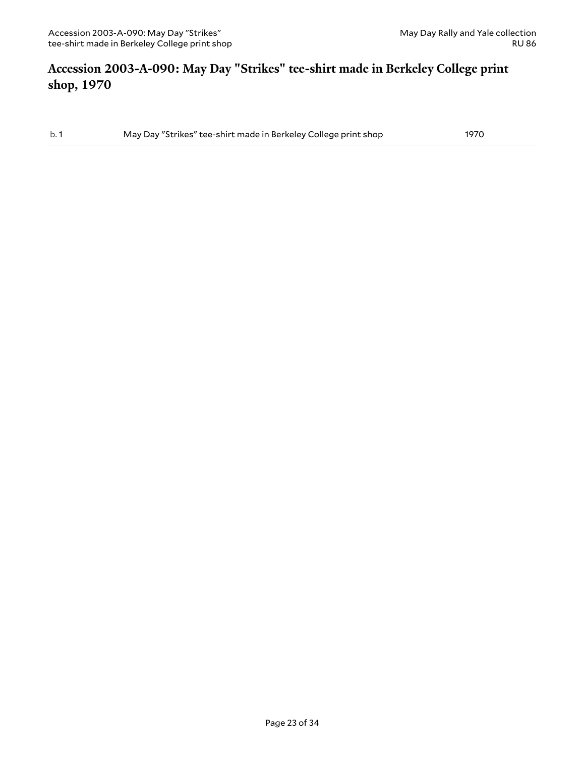#### <span id="page-22-0"></span>**Accession 2003-A-090: May Day "Strikes" tee-shirt made in Berkeley College print shop, 1970**

b. 1 May Day "Strikes" tee-shirt made in Berkeley College print shop 1970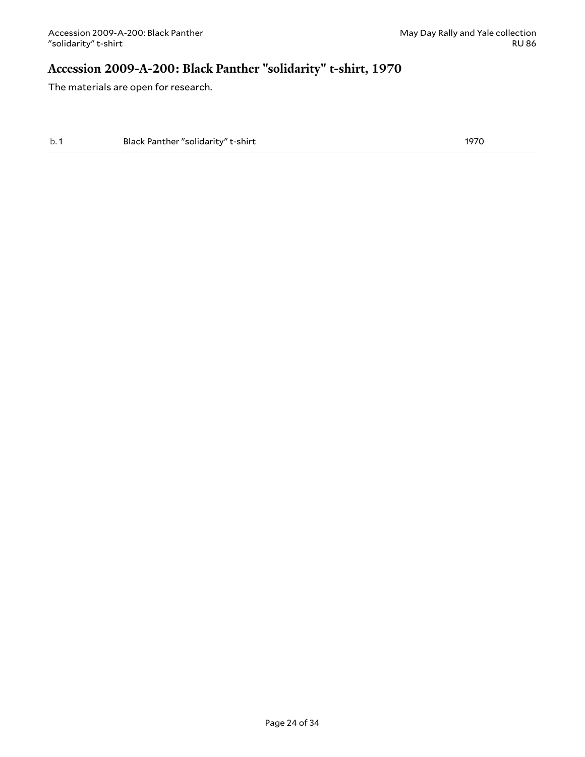### <span id="page-23-0"></span>**Accession 2009-A-200: Black Panther "solidarity" t-shirt, 1970**

The materials are open for research.

b. 1 Black Panther "solidarity" t-shirt 1970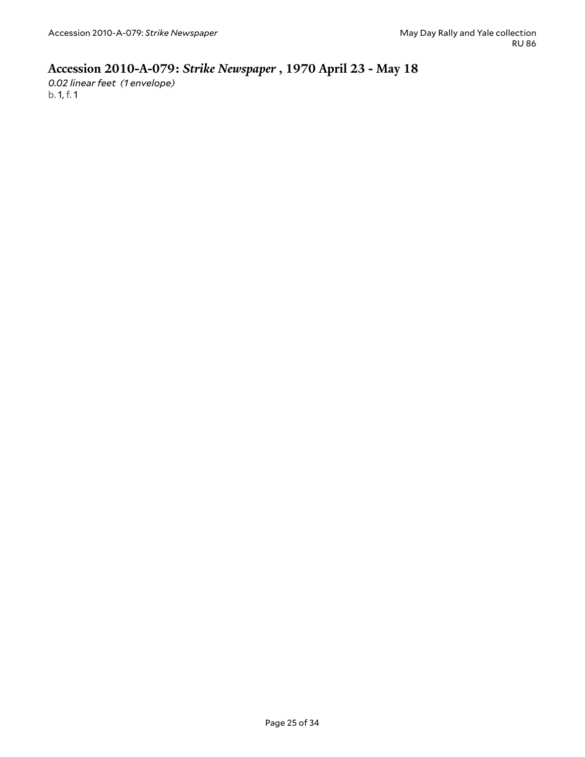### <span id="page-24-0"></span>**Accession 2010-A-079:** *Strike Newspaper* **, 1970 April 23 - May 18**

*0.02 linear feet (1 envelope)* b. 1, f. 1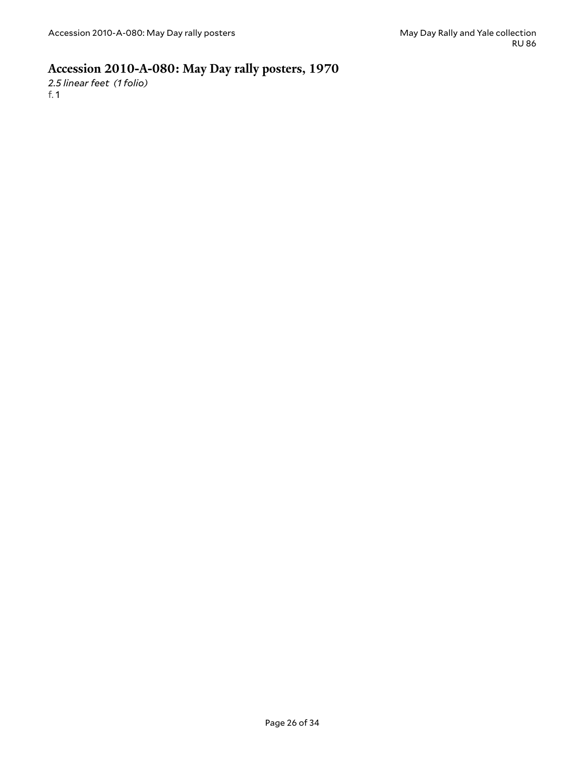### <span id="page-25-0"></span>**Accession 2010-A-080: May Day rally posters, 1970**

*2.5 linear feet (1 folio)* f. 1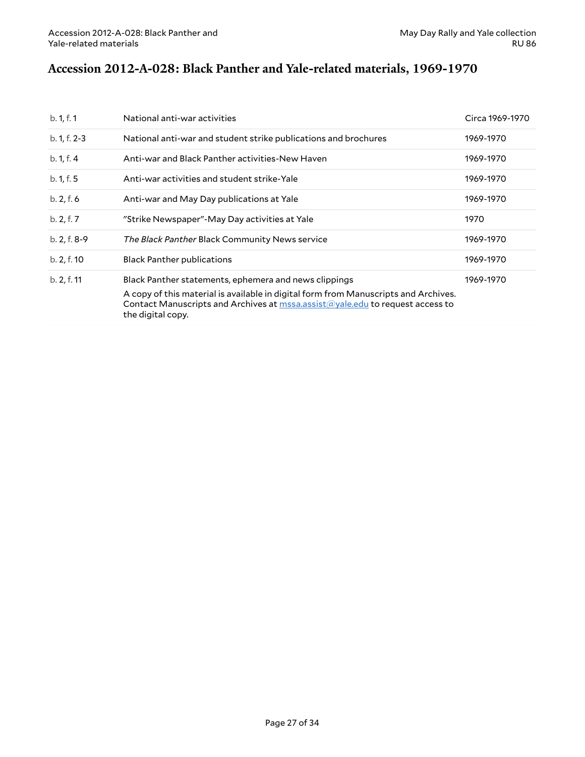### <span id="page-26-0"></span>**Accession 2012-A-028: Black Panther and Yale-related materials, 1969-1970**

| b. 1, f. 1   | National anti-war activities                                                                                                                                                              | Circa 1969-1970 |
|--------------|-------------------------------------------------------------------------------------------------------------------------------------------------------------------------------------------|-----------------|
| b. 1, f. 2-3 | National anti-war and student strike publications and brochures                                                                                                                           | 1969-1970       |
| b. 1, f. 4   | Anti-war and Black Panther activities-New Haven                                                                                                                                           | 1969-1970       |
| b. 1, f. 5   | Anti-war activities and student strike-Yale                                                                                                                                               | 1969-1970       |
| b. 2, f. 6   | Anti-war and May Day publications at Yale                                                                                                                                                 | 1969-1970       |
| b. 2, f. 7   | "Strike Newspaper"-May Day activities at Yale                                                                                                                                             | 1970            |
| b. 2, f. 8-9 | The Black Panther Black Community News service                                                                                                                                            | 1969-1970       |
| b. 2, f. 10  | <b>Black Panther publications</b>                                                                                                                                                         | 1969-1970       |
| b. 2, f. 11  | Black Panther statements, ephemera and news clippings                                                                                                                                     | 1969-1970       |
|              | A copy of this material is available in digital form from Manuscripts and Archives.<br>Contact Manuscripts and Archives at mssa.assist@yale.edu to request access to<br>the digital copy. |                 |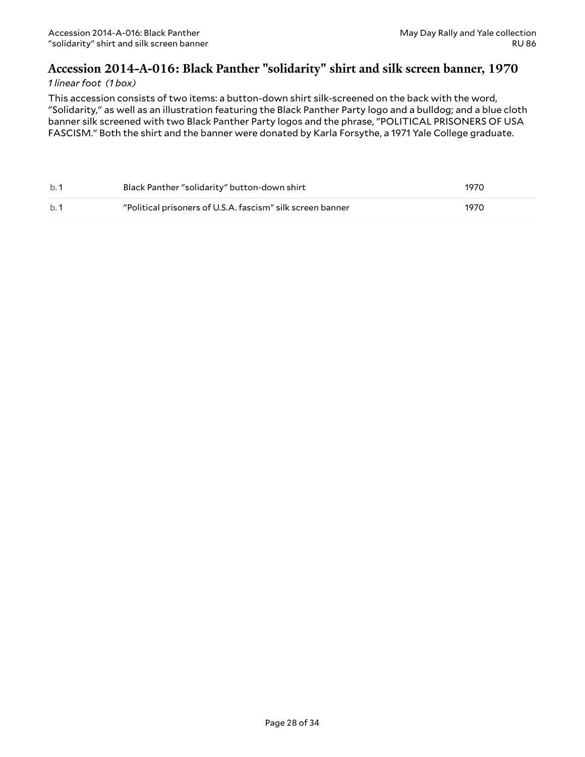#### <span id="page-27-0"></span>**Accession 2014-A-016: Black Panther "solidarity" shirt and silk screen banner, 1970**

#### *1 linear foot (1 box)*

This accession consists of two items: a button-down shirt silk-screened on the back with the word, "Solidarity," as well as an illustration featuring the Black Panther Party logo and a bulldog; and a blue cloth banner silk screened with two Black Panther Party logos and the phrase, "POLITICAL PRISONERS OF USA FASCISM." Both the shirt and the banner were donated by Karla Forsythe, a 1971 Yale College graduate.

| b.1 | Black Panther "solidarity" button-down shirt               | 1970 |
|-----|------------------------------------------------------------|------|
| b.1 | "Political prisoners of U.S.A. fascism" silk screen banner | 1970 |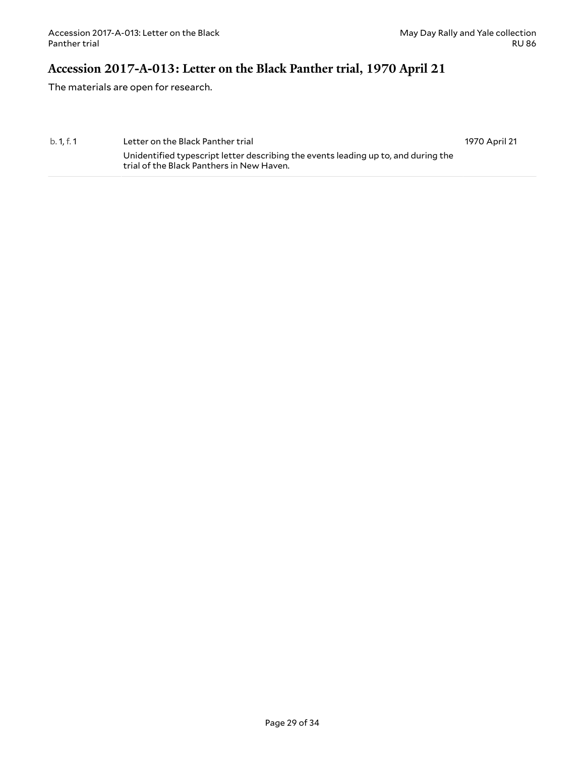### <span id="page-28-0"></span>**Accession 2017-A-013: Letter on the Black Panther trial, 1970 April 21**

The materials are open for research.

| b. 1.f. 1 | Letter on the Black Panther trial                                                                                               | 1970 April 21 |
|-----------|---------------------------------------------------------------------------------------------------------------------------------|---------------|
|           | Unidentified typescript letter describing the events leading up to, and during the<br>trial of the Black Panthers in New Haven. |               |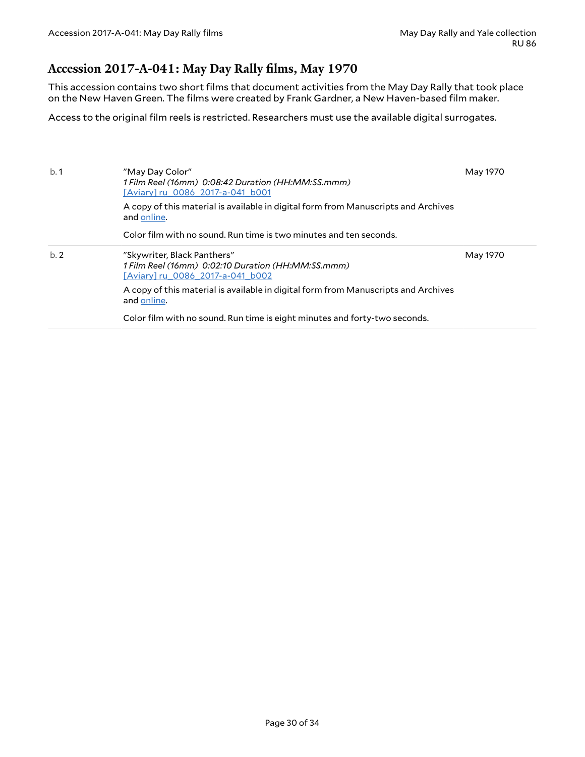#### <span id="page-29-0"></span>**Accession 2017-A-041: May Day Rally films, May 1970**

This accession contains two short films that document activities from the May Day Rally that took place on the New Haven Green. The films were created by Frank Gardner, a New Haven-based film maker.

Access to the original film reels is restricted. Researchers must use the available digital surrogates.

| b.1 | "May Day Color"<br>1 Film Reel (16mm) 0:08:42 Duration (HH:MM:SS.mmm)<br>[Aviary] ru 0086 2017-a-041 b001<br>A copy of this material is available in digital form from Manuscripts and Archives<br>and online.<br>Color film with no sound. Run time is two minutes and ten seconds. | May 1970 |
|-----|--------------------------------------------------------------------------------------------------------------------------------------------------------------------------------------------------------------------------------------------------------------------------------------|----------|
| b.2 | "Skywriter, Black Panthers"<br>1 Film Reel (16mm) 0:02:10 Duration (HH:MM:SS.mmm)<br>[Aviary] ru 0086 2017-a-041 b002                                                                                                                                                                | May 1970 |
|     | A copy of this material is available in digital form from Manuscripts and Archives<br>and online.                                                                                                                                                                                    |          |
|     | Color film with no sound. Run time is eight minutes and forty-two seconds.                                                                                                                                                                                                           |          |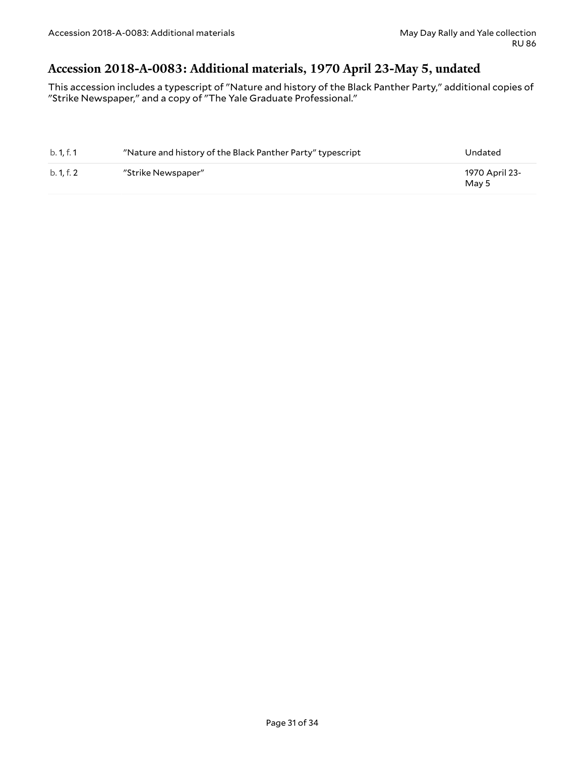#### <span id="page-30-0"></span>**Accession 2018-A-0083: Additional materials, 1970 April 23-May 5, undated**

This accession includes a typescript of "Nature and history of the Black Panther Party," additional copies of "Strike Newspaper," and a copy of "The Yale Graduate Professional."

| b. 1. f. 1 | "Nature and history of the Black Panther Party" typescript | Undated                 |
|------------|------------------------------------------------------------|-------------------------|
| b. 1. f. 2 | "Strike Newspaper"                                         | -1970 April 23<br>May 5 |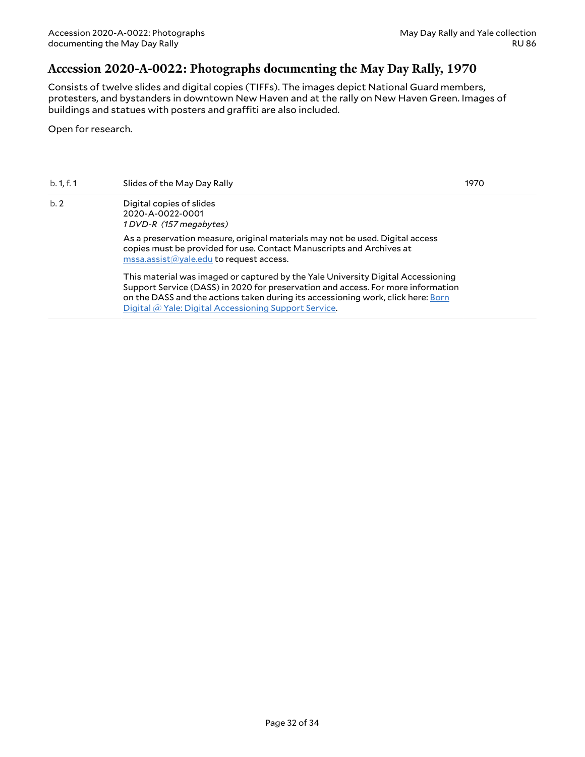#### <span id="page-31-0"></span>**Accession 2020-A-0022: Photographs documenting the May Day Rally, 1970**

Consists of twelve slides and digital copies (TIFFs). The images depict National Guard members, protesters, and bystanders in downtown New Haven and at the rally on New Haven Green. Images of buildings and statues with posters and graffiti are also included.

Open for research.

| b. 1, f. 1 | Slides of the May Day Rally                                                                                                                                                                                                                                                                                       | 1970 |
|------------|-------------------------------------------------------------------------------------------------------------------------------------------------------------------------------------------------------------------------------------------------------------------------------------------------------------------|------|
| b.2        | Digital copies of slides<br>2020-A-0022-0001<br>1DVD-R (157 megabytes)                                                                                                                                                                                                                                            |      |
|            | As a preservation measure, original materials may not be used. Digital access<br>copies must be provided for use. Contact Manuscripts and Archives at<br>mssa.assist@yale.edu to request access.                                                                                                                  |      |
|            | This material was imaged or captured by the Yale University Digital Accessioning<br>Support Service (DASS) in 2020 for preservation and access. For more information<br>on the DASS and the actions taken during its accessioning work, click here: Born<br>Digital @ Yale: Digital Accessioning Support Service. |      |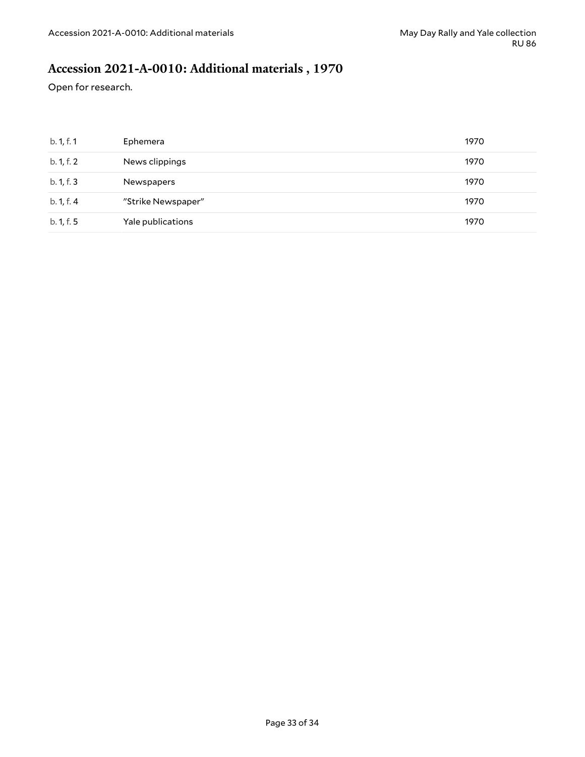# <span id="page-32-0"></span>**Accession 2021-A-0010: Additional materials , 1970**

Open for research.

| b. 1, f. 1 | Ephemera           | 1970 |
|------------|--------------------|------|
| b. 1, f. 2 | News clippings     | 1970 |
| b. 1, f. 3 | Newspapers         | 1970 |
| b. 1, f. 4 | "Strike Newspaper" | 1970 |
| b. 1, f. 5 | Yale publications  | 1970 |